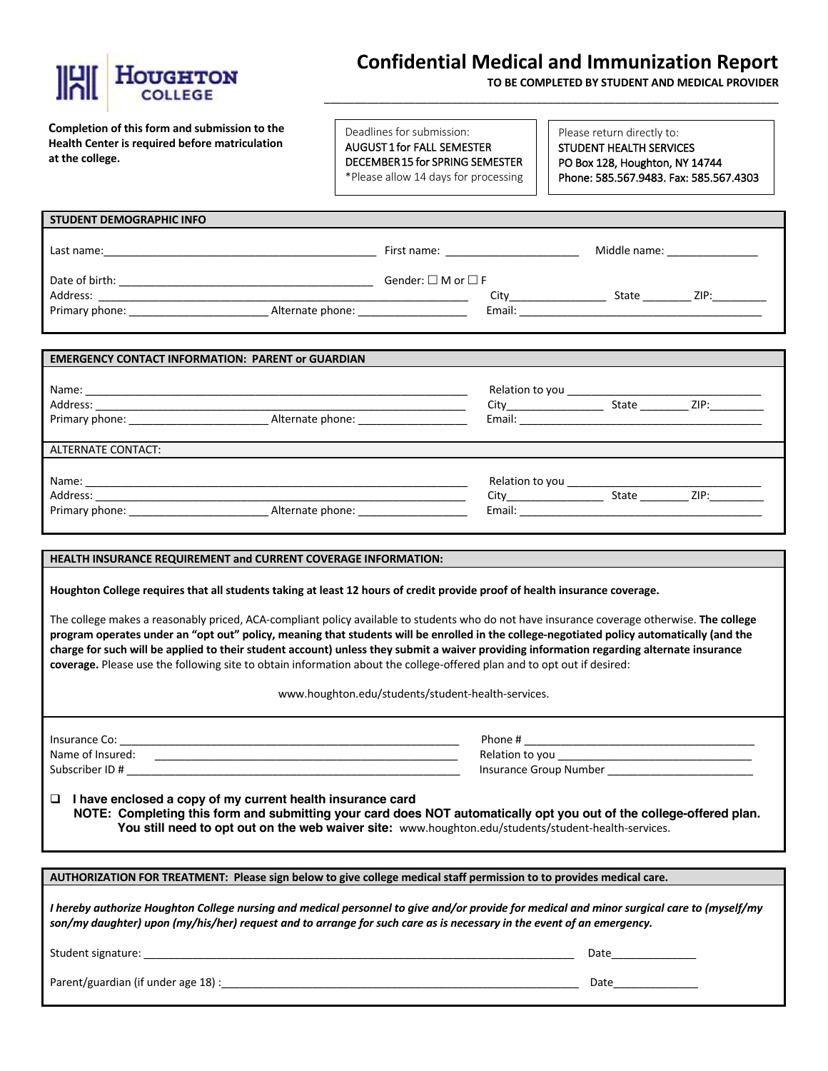

# **Confidential Medical and Immunization Report**

\_\_\_\_\_\_\_\_\_\_\_\_\_\_\_\_\_\_\_\_\_\_\_\_\_\_\_\_\_\_\_\_\_\_\_\_\_\_\_\_\_\_\_\_\_\_\_\_\_\_\_\_\_\_\_\_\_\_\_\_\_\_\_\_\_\_\_\_\_\_\_\_\_\_\_

**TO BE COMPLETED BY STUDENT AND MEDICAL PROVIDER**

**Completion of this form and submission to the Health Center is required before matriculation at the college.** 

Deadlines for submission: AUGUST 1 for FALL SEMESTER DECEMBER 15 for SPRING SEMESTER \*Please allow 14 days for processing

Please return directly to: STUDENT HEALTH SERVICES PO Box 128, Houghton, NY 14744 Phone: 585.567.9483. Fax: 585.567.4303

| <b>STUDENT DEMOGRAPHIC INFO</b>                                                                                |                  |                                                                                                                                                                                                                                |        |                             |                                                                                                                                                                                                                                |
|----------------------------------------------------------------------------------------------------------------|------------------|--------------------------------------------------------------------------------------------------------------------------------------------------------------------------------------------------------------------------------|--------|-----------------------------|--------------------------------------------------------------------------------------------------------------------------------------------------------------------------------------------------------------------------------|
| Last name: the contract of the contract of the contract of the contract of the contract of the contract of the |                  | First name: The contract of the contract of the contract of the contract of the contract of the contract of the contract of the contract of the contract of the contract of the contract of the contract of the contract of th |        | Middle name: ______________ |                                                                                                                                                                                                                                |
| Date of birth:<br>Address:                                                                                     |                  | Gender: $\square$ M or $\square$ F                                                                                                                                                                                             | City   | State                       | ZIP: the contract of the contract of the contract of the contract of the contract of the contract of the contract of the contract of the contract of the contract of the contract of the contract of the contract of the contr |
| Primary phone:                                                                                                 | Alternate phone: |                                                                                                                                                                                                                                | Email: |                             |                                                                                                                                                                                                                                |
|                                                                                                                |                  |                                                                                                                                                                                                                                |        |                             |                                                                                                                                                                                                                                |

| <b>EMERGENCY CONTACT INFORMATION: PARENT or GUARDIAN</b> |                  |                                                                                                                                                                                                                                |       |                                                                                                               |  |
|----------------------------------------------------------|------------------|--------------------------------------------------------------------------------------------------------------------------------------------------------------------------------------------------------------------------------|-------|---------------------------------------------------------------------------------------------------------------|--|
| Address:                                                 |                  | Relation to you                                                                                                                                                                                                                |       | State ZIP:                                                                                                    |  |
|                                                          | Alternate phone: |                                                                                                                                                                                                                                |       |                                                                                                               |  |
| <b>ALTERNATE CONTACT:</b>                                |                  |                                                                                                                                                                                                                                |       |                                                                                                               |  |
|                                                          |                  |                                                                                                                                                                                                                                |       |                                                                                                               |  |
| Address:                                                 |                  |                                                                                                                                                                                                                                | State | ZIP: and the state of the state of the state of the state of the state of the state of the state of the state |  |
| Primary phone: _________________                         | Alternate phone: | Email: Email: All and the state of the state of the state of the state of the state of the state of the state of the state of the state of the state of the state of the state of the state of the state of the state of the s |       |                                                                                                               |  |

# **HEALTH INSURANCE REQUIREMENT and CURRENT COVERAGE INFORMATION:**

**Houghton College requires that all students taking at least 12 hours of credit provide proof of health insurance coverage.** 

The college makes a reasonably priced, ACA-compliant policy available to students who do not have insurance coverage otherwise. **The college program operates under an "opt out" policy, meaning that students will be enrolled in the college-negotiated policy automatically (and the charge for such will be applied to their student account) unless they submit a waiver providing information regarding alternate insurance coverage.** Please use the following site to obtain information about the college-offered plan and to opt out if desired:

www.houghton.edu/students/student-health-services.

Insurance Co: \_\_\_\_\_\_\_\_\_\_\_\_\_\_\_\_\_\_\_\_\_\_\_\_\_\_\_\_\_\_\_\_\_\_\_\_\_\_\_\_\_\_\_\_\_\_\_\_\_\_\_\_\_\_\_\_ Phone # \_\_\_\_\_\_\_\_\_\_\_\_\_\_\_\_\_\_\_\_\_\_\_\_\_\_\_\_\_\_\_\_\_\_\_\_\_\_ Name of Insured: \_\_\_\_\_\_\_\_\_\_\_\_\_\_\_\_\_\_\_\_\_\_\_\_\_\_\_\_\_\_\_\_\_\_\_\_\_\_\_\_\_\_\_\_\_\_\_\_\_\_ Relation to you \_\_\_\_\_\_\_\_\_\_\_\_\_\_\_\_\_\_\_\_\_\_\_\_\_\_\_\_\_\_\_\_ Subscriber ID # \_\_\_\_\_\_\_\_\_\_\_\_\_\_\_\_\_\_\_\_\_\_\_\_\_\_\_\_\_\_\_\_\_\_\_\_\_\_\_\_\_\_\_\_\_\_\_\_\_\_\_\_\_\_\_ Insurance Group Number \_\_\_\_\_\_\_\_\_\_\_\_\_\_\_\_\_\_\_\_\_\_\_\_

□ I have enclosed a copy of my current health insurance card **NOTE: Completing this form and submitting your card does NOT automatically opt you out of the college-offered plan. You still need to opt out on the web waiver site:** www.houghton.edu/students/student-health-services.

**AUTHORIZATION FOR TREATMENT: Please sign below to give college medical staff permission to to provides medical care.**

*I hereby authorize Houghton College nursing and medical personnel to give and/or provide for medical and minor surgical care to (myself/my son/my daughter) upon (my/his/her) request and to arrange for such care as is necessary in the event of an emergency.*

Student signature: \_\_\_\_\_\_\_\_\_\_\_\_\_\_\_\_\_\_\_\_\_\_\_\_\_\_\_\_\_\_\_\_\_\_\_\_\_\_\_\_\_\_\_\_\_\_\_\_\_\_\_\_\_\_\_\_\_\_\_\_\_\_\_\_\_\_\_\_\_\_\_ Date\_\_\_\_\_\_\_\_\_\_\_\_\_\_

Parent/guardian (if under age 18) :\_\_\_\_\_\_\_\_\_\_\_\_\_\_\_\_\_\_\_\_\_\_\_\_\_\_\_\_\_\_\_\_\_\_\_\_\_\_\_\_\_\_\_\_\_\_\_\_\_\_\_\_\_\_\_\_\_\_\_ Date\_\_\_\_\_\_\_\_\_\_\_\_\_\_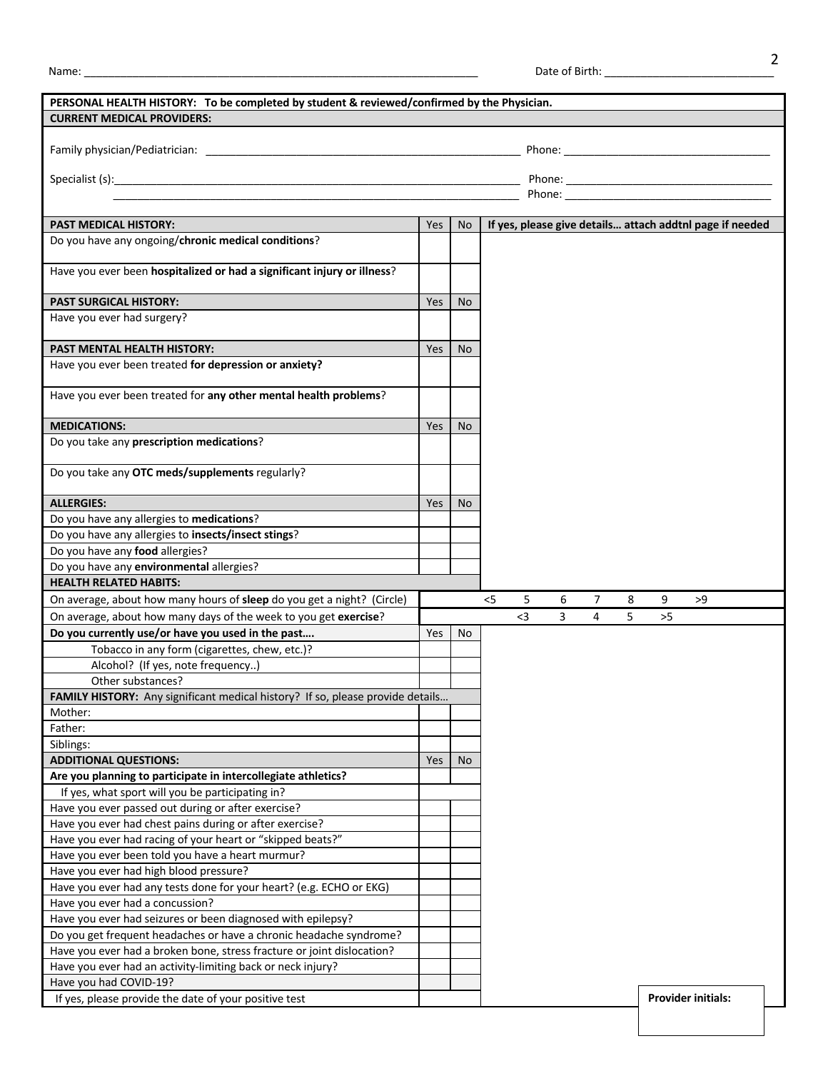| งลme |  |  |
|------|--|--|
|      |  |  |

| PERSONAL HEALTH HISTORY: To be completed by student & reviewed/confirmed by the Physician.<br><b>CURRENT MEDICAL PROVIDERS:</b> |     |           |                                                          |  |  |  |  |
|---------------------------------------------------------------------------------------------------------------------------------|-----|-----------|----------------------------------------------------------|--|--|--|--|
|                                                                                                                                 |     |           |                                                          |  |  |  |  |
|                                                                                                                                 |     |           |                                                          |  |  |  |  |
|                                                                                                                                 |     |           |                                                          |  |  |  |  |
|                                                                                                                                 |     |           |                                                          |  |  |  |  |
|                                                                                                                                 |     |           |                                                          |  |  |  |  |
| <b>PAST MEDICAL HISTORY:</b>                                                                                                    | Yes | <b>No</b> | If yes, please give details attach addtnl page if needed |  |  |  |  |
| Do you have any ongoing/chronic medical conditions?                                                                             |     |           |                                                          |  |  |  |  |
|                                                                                                                                 |     |           |                                                          |  |  |  |  |
| Have you ever been hospitalized or had a significant injury or illness?                                                         |     |           |                                                          |  |  |  |  |
| <b>PAST SURGICAL HISTORY:</b>                                                                                                   | Yes | No        |                                                          |  |  |  |  |
| Have you ever had surgery?                                                                                                      |     |           |                                                          |  |  |  |  |
| PAST MENTAL HEALTH HISTORY:                                                                                                     | Yes | <b>No</b> |                                                          |  |  |  |  |
| Have you ever been treated for depression or anxiety?                                                                           |     |           |                                                          |  |  |  |  |
|                                                                                                                                 |     |           |                                                          |  |  |  |  |
| Have you ever been treated for any other mental health problems?                                                                |     |           |                                                          |  |  |  |  |
| <b>MEDICATIONS:</b>                                                                                                             | Yes | No.       |                                                          |  |  |  |  |
| Do you take any prescription medications?                                                                                       |     |           |                                                          |  |  |  |  |
|                                                                                                                                 |     |           |                                                          |  |  |  |  |
| Do you take any OTC meds/supplements regularly?                                                                                 |     |           |                                                          |  |  |  |  |
| <b>ALLERGIES:</b>                                                                                                               | Yes | No.       |                                                          |  |  |  |  |
| Do you have any allergies to medications?                                                                                       |     |           |                                                          |  |  |  |  |
| Do you have any allergies to insects/insect stings?                                                                             |     |           |                                                          |  |  |  |  |
| Do you have any food allergies?                                                                                                 |     |           |                                                          |  |  |  |  |
| Do you have any environmental allergies?                                                                                        |     |           |                                                          |  |  |  |  |
| <b>HEALTH RELATED HABITS:</b>                                                                                                   |     |           |                                                          |  |  |  |  |
| On average, about how many hours of sleep do you get a night? (Circle)                                                          |     |           | 5<br>6<br>$\overline{7}$<br>9<br>$<$ 5<br>8<br>>9        |  |  |  |  |
| On average, about how many days of the week to you get exercise?                                                                |     |           | $3$<br>3<br>$\overline{4}$<br>5<br>$>5$                  |  |  |  |  |
| Do you currently use/or have you used in the past                                                                               | Yes | No        |                                                          |  |  |  |  |
| Tobacco in any form (cigarettes, chew, etc.)?                                                                                   |     |           |                                                          |  |  |  |  |
| Alcohol? (If yes, note frequency)                                                                                               |     |           |                                                          |  |  |  |  |
| Other substances?                                                                                                               |     |           |                                                          |  |  |  |  |
| FAMILY HISTORY: Any significant medical history? If so, please provide details                                                  |     |           |                                                          |  |  |  |  |
| Mother:                                                                                                                         |     |           |                                                          |  |  |  |  |
| Father:                                                                                                                         |     |           |                                                          |  |  |  |  |
| Siblings:                                                                                                                       |     |           |                                                          |  |  |  |  |
| <b>ADDITIONAL QUESTIONS:</b>                                                                                                    | Yes | No        |                                                          |  |  |  |  |
| Are you planning to participate in intercollegiate athletics?                                                                   |     |           |                                                          |  |  |  |  |
| If yes, what sport will you be participating in?                                                                                |     |           |                                                          |  |  |  |  |
| Have you ever passed out during or after exercise?                                                                              |     |           |                                                          |  |  |  |  |
| Have you ever had chest pains during or after exercise?                                                                         |     |           |                                                          |  |  |  |  |
| Have you ever had racing of your heart or "skipped beats?"                                                                      |     |           |                                                          |  |  |  |  |
| Have you ever been told you have a heart murmur?                                                                                |     |           |                                                          |  |  |  |  |
| Have you ever had high blood pressure?                                                                                          |     |           |                                                          |  |  |  |  |
| Have you ever had any tests done for your heart? (e.g. ECHO or EKG)                                                             |     |           |                                                          |  |  |  |  |
| Have you ever had a concussion?                                                                                                 |     |           |                                                          |  |  |  |  |
| Have you ever had seizures or been diagnosed with epilepsy?                                                                     |     |           |                                                          |  |  |  |  |
| Do you get frequent headaches or have a chronic headache syndrome?                                                              |     |           |                                                          |  |  |  |  |
| Have you ever had a broken bone, stress fracture or joint dislocation?                                                          |     |           |                                                          |  |  |  |  |
| Have you ever had an activity-limiting back or neck injury?                                                                     |     |           |                                                          |  |  |  |  |
| Have you had COVID-19?                                                                                                          |     |           |                                                          |  |  |  |  |
| If yes, please provide the date of your positive test                                                                           |     |           | <b>Provider initials:</b>                                |  |  |  |  |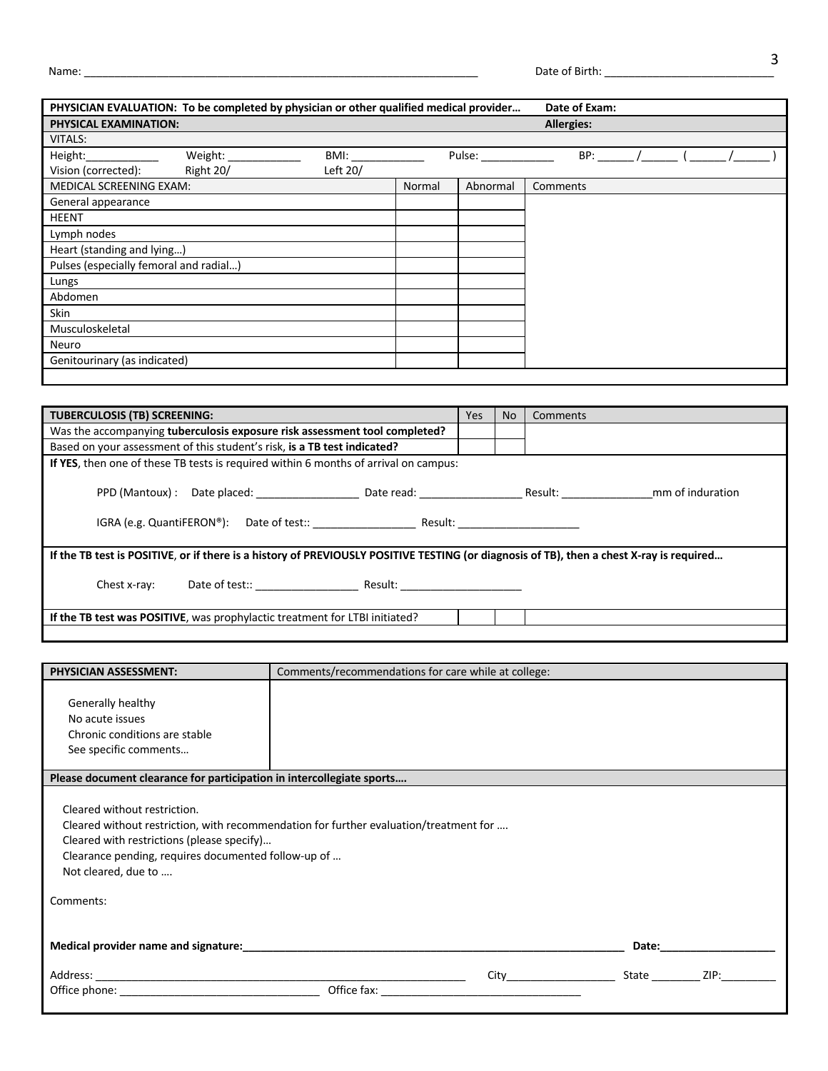| PHYSICIAN EVALUATION: To be completed by physician or other qualified medical provider |           |          |        |          | Date of Exam:     |  |  |
|----------------------------------------------------------------------------------------|-----------|----------|--------|----------|-------------------|--|--|
| <b>PHYSICAL EXAMINATION:</b>                                                           |           |          |        |          | <b>Allergies:</b> |  |  |
| <b>VITALS:</b>                                                                         |           |          |        |          |                   |  |  |
| Height:                                                                                | Weight:   | BMI:     |        | Pulse:   | BP:               |  |  |
| Vision (corrected):                                                                    | Right 20/ | Left 20/ |        |          |                   |  |  |
| MEDICAL SCREENING EXAM:                                                                |           |          | Normal | Abnormal | Comments          |  |  |
| General appearance                                                                     |           |          |        |          |                   |  |  |
| <b>HEENT</b>                                                                           |           |          |        |          |                   |  |  |
| Lymph nodes                                                                            |           |          |        |          |                   |  |  |
| Heart (standing and lying)                                                             |           |          |        |          |                   |  |  |
| Pulses (especially femoral and radial)                                                 |           |          |        |          |                   |  |  |
| Lungs                                                                                  |           |          |        |          |                   |  |  |
| Abdomen                                                                                |           |          |        |          |                   |  |  |
| Skin                                                                                   |           |          |        |          |                   |  |  |
| Musculoskeletal                                                                        |           |          |        |          |                   |  |  |
| Neuro                                                                                  |           |          |        |          |                   |  |  |
| Genitourinary (as indicated)                                                           |           |          |        |          |                   |  |  |
|                                                                                        |           |          |        |          |                   |  |  |

| <b>TUBERCULOSIS (TB) SCREENING:</b>                                                                                                      | Yes | <b>No</b> | Comments |
|------------------------------------------------------------------------------------------------------------------------------------------|-----|-----------|----------|
| Was the accompanying tuberculosis exposure risk assessment tool completed?                                                               |     |           |          |
| Based on your assessment of this student's risk, is a TB test indicated?                                                                 |     |           |          |
| If YES, then one of these TB tests is required within 6 months of arrival on campus:                                                     |     |           |          |
|                                                                                                                                          |     |           |          |
|                                                                                                                                          |     |           |          |
|                                                                                                                                          |     |           |          |
| If the TB test is POSITIVE, or if there is a history of PREVIOUSLY POSITIVE TESTING (or diagnosis of TB), then a chest X-ray is required |     |           |          |
| Chest x-ray:                                                                                                                             |     |           |          |
| If the TB test was POSITIVE, was prophylactic treatment for LTBI initiated?                                                              |     |           |          |
|                                                                                                                                          |     |           |          |

| <b>PHYSICIAN ASSESSMENT:</b>                                                                                                                                                                                                         | Comments/recommendations for care while at college:                                                                                                                                                                                                  |  |
|--------------------------------------------------------------------------------------------------------------------------------------------------------------------------------------------------------------------------------------|------------------------------------------------------------------------------------------------------------------------------------------------------------------------------------------------------------------------------------------------------|--|
| Generally healthy<br>No acute issues<br>Chronic conditions are stable<br>See specific comments                                                                                                                                       |                                                                                                                                                                                                                                                      |  |
| Please document clearance for participation in intercollegiate sports                                                                                                                                                                |                                                                                                                                                                                                                                                      |  |
| Cleared without restriction.<br>Cleared with restrictions (please specify)<br>Clearance pending, requires documented follow-up of<br>Not cleared, due to<br>Comments:                                                                | Cleared without restriction, with recommendation for further evaluation/treatment for                                                                                                                                                                |  |
|                                                                                                                                                                                                                                      | Date:                                                                                                                                                                                                                                                |  |
| Office phone: <u>with a series of the series of the series of the series of the series of the series of the series of the series of the series of the series of the series of the series of the series of the series of the seri</u> | State<br>ZIP:<br>City <b>City</b> and the control of the control of the control of the control of the control of the control of the control of the control of the control of the control of the control of the control of the control of the control |  |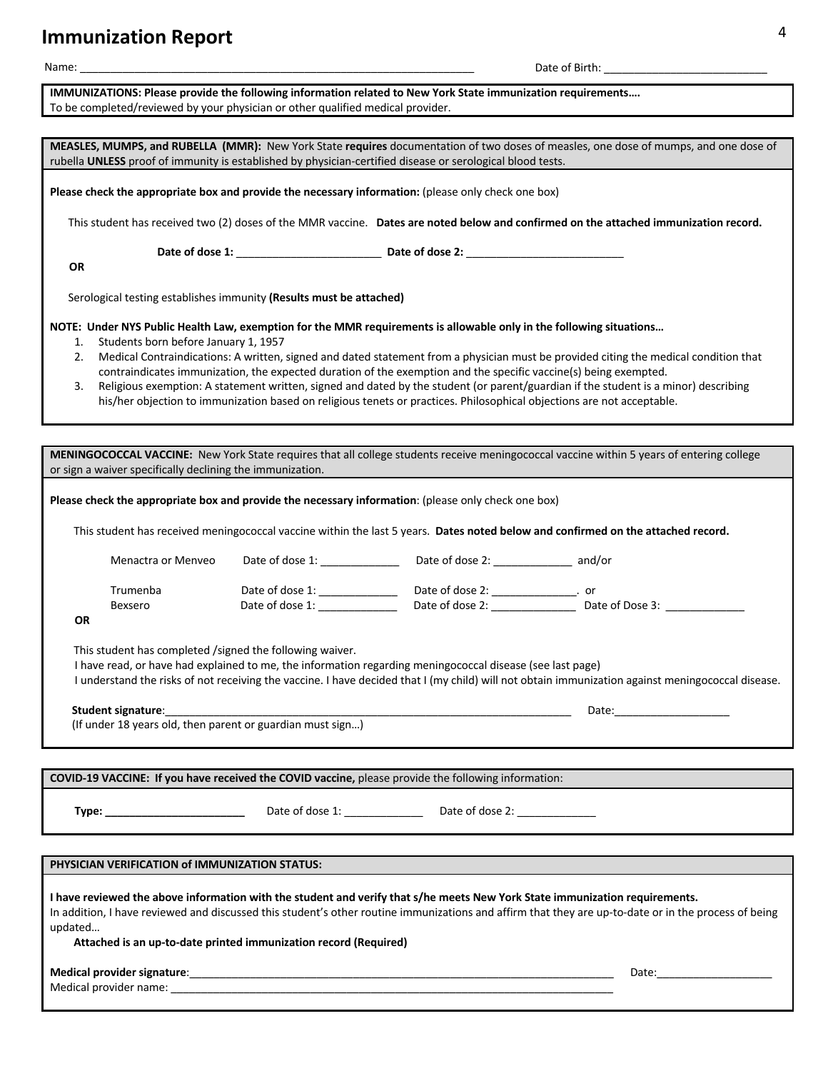# **Immunization Report** <sup>4</sup>

| Name:                                                                                                                                                                                                      |                                                                 |                                                                                                                                                                                                                                            |                                                                                                                                                                                                                                                                                                                                                                                     |
|------------------------------------------------------------------------------------------------------------------------------------------------------------------------------------------------------------|-----------------------------------------------------------------|--------------------------------------------------------------------------------------------------------------------------------------------------------------------------------------------------------------------------------------------|-------------------------------------------------------------------------------------------------------------------------------------------------------------------------------------------------------------------------------------------------------------------------------------------------------------------------------------------------------------------------------------|
| IMMUNIZATIONS: Please provide the following information related to New York State immunization requirements<br>To be completed/reviewed by your physician or other qualified medical provider.             |                                                                 |                                                                                                                                                                                                                                            |                                                                                                                                                                                                                                                                                                                                                                                     |
| rubella UNLESS proof of immunity is established by physician-certified disease or serological blood tests.                                                                                                 |                                                                 |                                                                                                                                                                                                                                            | MEASLES, MUMPS, and RUBELLA (MMR): New York State requires documentation of two doses of measles, one dose of mumps, and one dose of                                                                                                                                                                                                                                                |
| Please check the appropriate box and provide the necessary information: (please only check one box)                                                                                                        |                                                                 |                                                                                                                                                                                                                                            |                                                                                                                                                                                                                                                                                                                                                                                     |
|                                                                                                                                                                                                            |                                                                 |                                                                                                                                                                                                                                            | This student has received two (2) doses of the MMR vaccine. Dates are noted below and confirmed on the attached immunization record.                                                                                                                                                                                                                                                |
| OR                                                                                                                                                                                                         |                                                                 |                                                                                                                                                                                                                                            |                                                                                                                                                                                                                                                                                                                                                                                     |
| Serological testing establishes immunity (Results must be attached)                                                                                                                                        |                                                                 |                                                                                                                                                                                                                                            |                                                                                                                                                                                                                                                                                                                                                                                     |
| NOTE: Under NYS Public Health Law, exemption for the MMR requirements is allowable only in the following situations<br>Students born before January 1, 1957<br>1.<br>2.<br>3.                              |                                                                 | contraindicates immunization, the expected duration of the exemption and the specific vaccine(s) being exempted.<br>his/her objection to immunization based on religious tenets or practices. Philosophical objections are not acceptable. | Medical Contraindications: A written, signed and dated statement from a physician must be provided citing the medical condition that<br>Religious exemption: A statement written, signed and dated by the student (or parent/guardian if the student is a minor) describing                                                                                                         |
| or sign a waiver specifically declining the immunization.                                                                                                                                                  |                                                                 |                                                                                                                                                                                                                                            | MENINGOCOCCAL VACCINE: New York State requires that all college students receive meningococcal vaccine within 5 years of entering college                                                                                                                                                                                                                                           |
| Please check the appropriate box and provide the necessary information: (please only check one box)                                                                                                        |                                                                 |                                                                                                                                                                                                                                            |                                                                                                                                                                                                                                                                                                                                                                                     |
|                                                                                                                                                                                                            |                                                                 |                                                                                                                                                                                                                                            | This student has received meningococcal vaccine within the last 5 years. Dates noted below and confirmed on the attached record.                                                                                                                                                                                                                                                    |
| Menactra or Menveo                                                                                                                                                                                         | Date of dose 1: ____________                                    | Date of dose 2: __________________ and/or                                                                                                                                                                                                  |                                                                                                                                                                                                                                                                                                                                                                                     |
| Trumenba<br>Bexsero<br><b>OR</b>                                                                                                                                                                           | Date of dose 1: _____________<br>Date of dose 1: ______________ | Date of dose 2: ________________. or                                                                                                                                                                                                       |                                                                                                                                                                                                                                                                                                                                                                                     |
| This student has completed /signed the following waiver.<br>Student signature:<br>(If under 18 years old, then parent or guardian must sign)                                                               |                                                                 | I have read, or have had explained to me, the information regarding meningococcal disease (see last page)                                                                                                                                  | I understand the risks of not receiving the vaccine. I have decided that I (my child) will not obtain immunization against meningococcal disease.<br>Date: the contract of the contract of the contract of the contract of the contract of the contract of the contract of the contract of the contract of the contract of the contract of the contract of the contract of the cont |
|                                                                                                                                                                                                            |                                                                 |                                                                                                                                                                                                                                            |                                                                                                                                                                                                                                                                                                                                                                                     |
| COVID-19 VACCINE: If you have received the COVID vaccine, please provide the following information:                                                                                                        |                                                                 |                                                                                                                                                                                                                                            |                                                                                                                                                                                                                                                                                                                                                                                     |
| Type: _________________________                                                                                                                                                                            |                                                                 |                                                                                                                                                                                                                                            |                                                                                                                                                                                                                                                                                                                                                                                     |
| PHYSICIAN VERIFICATION of IMMUNIZATION STATUS:                                                                                                                                                             |                                                                 |                                                                                                                                                                                                                                            |                                                                                                                                                                                                                                                                                                                                                                                     |
| I have reviewed the above information with the student and verify that s/he meets New York State immunization requirements.<br>updated<br>Attached is an up-to-date printed immunization record (Required) |                                                                 |                                                                                                                                                                                                                                            | In addition, I have reviewed and discussed this student's other routine immunizations and affirm that they are up-to-date or in the process of being                                                                                                                                                                                                                                |
|                                                                                                                                                                                                            |                                                                 |                                                                                                                                                                                                                                            |                                                                                                                                                                                                                                                                                                                                                                                     |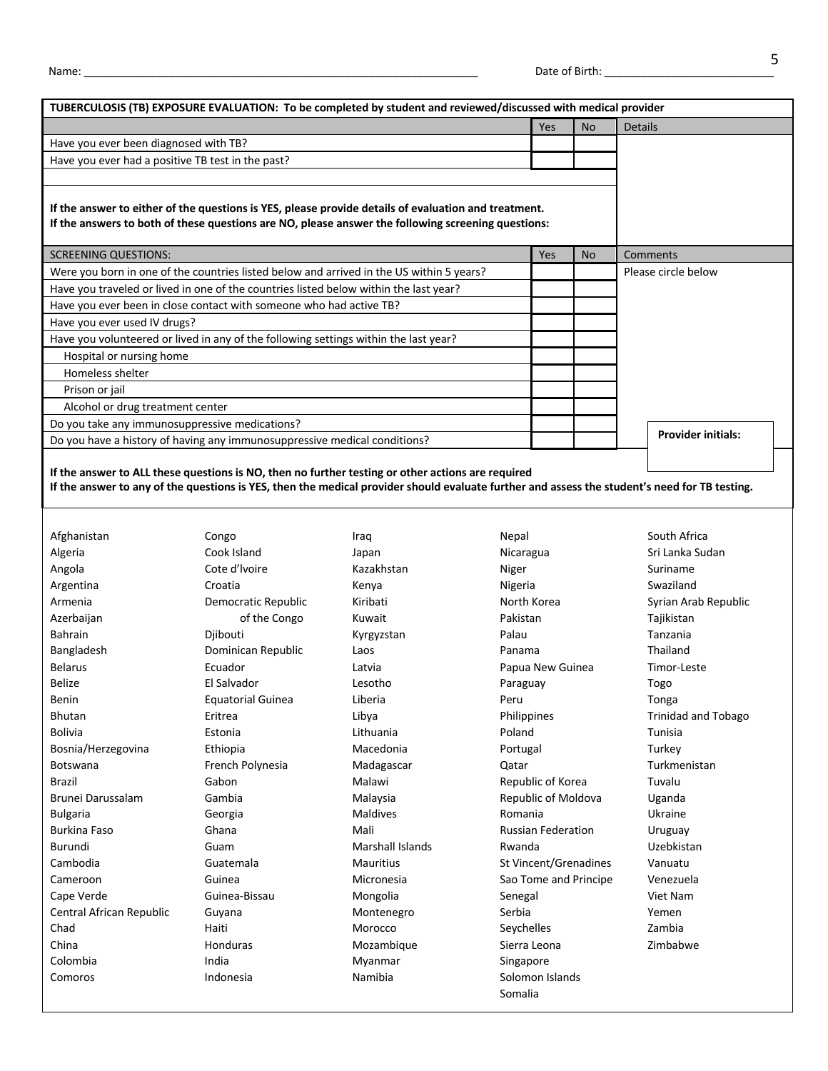|                                                                                                                                                                                                            | Yes | <b>No</b> | <b>Details</b>            |
|------------------------------------------------------------------------------------------------------------------------------------------------------------------------------------------------------------|-----|-----------|---------------------------|
| Have you ever been diagnosed with TB?                                                                                                                                                                      |     |           |                           |
| Have you ever had a positive TB test in the past?                                                                                                                                                          |     |           |                           |
| If the answer to either of the questions is YES, please provide details of evaluation and treatment.<br>If the answers to both of these questions are NO, please answer the following screening questions: |     |           |                           |
| <b>SCREENING QUESTIONS:</b>                                                                                                                                                                                | Yes | <b>No</b> | Comments                  |
| Were you born in one of the countries listed below and arrived in the US within 5 years?                                                                                                                   |     |           | Please circle below       |
| Have you traveled or lived in one of the countries listed below within the last year?                                                                                                                      |     |           |                           |
| Have you ever been in close contact with someone who had active TB?                                                                                                                                        |     |           |                           |
| Have you ever used IV drugs?                                                                                                                                                                               |     |           |                           |
| Have you volunteered or lived in any of the following settings within the last year?                                                                                                                       |     |           |                           |
| Hospital or nursing home                                                                                                                                                                                   |     |           |                           |
| Homeless shelter                                                                                                                                                                                           |     |           |                           |
| Prison or jail                                                                                                                                                                                             |     |           |                           |
| Alcohol or drug treatment center                                                                                                                                                                           |     |           |                           |
|                                                                                                                                                                                                            |     |           |                           |
| Do you take any immunosuppressive medications?                                                                                                                                                             |     |           | <b>Provider initials:</b> |

Afghanistan Algeria Angola Argentina Armenia Azerbaijan Bahrain Bangladesh Belarus Belize Benin Bhutan Bolivia Bosnia/Herzegovina Botswana Brazil Brunei Darussalam Bulgaria Burkina Faso Burundi Cambodia Cameroon Cape Verde Central African Republic Chad China Colombia Comoros

Congo Cook Island Cote d'lvoire Croatia Democratic Republic of the Congo Djibouti Dominican Republic Ecuador El Salvador Equatorial Guinea Eritrea Estonia Ethiopia French Polynesia Gabon Gambia Georgia Ghana Guam Guatemala Guinea Guinea-Bissau Guyana Haiti Honduras India Indonesia

Iraq Japan Kazakhstan Kenya Kiribati Kuwait Kyrgyzstan Laos Latvia Lesotho Liberia Libya Lithuania Macedonia Madagascar Malawi Malaysia Maldives Mali Marshall Islands Mauritius Micronesia Mongolia Montenegro Morocco Mozambique Myanmar Namibia

Nepal Nicaragua Niger Nigeria North Korea Pakistan Palau Panama Papua New Guinea Paraguay Peru Philippines Poland Portugal Qatar Republic of Korea Republic of Moldova Romania Russian Federation Rwanda St Vincent/Grenadines Sao Tome and Principe Senegal Serbia Seychelles Sierra Leona Singapore Solomon Islands Somalia

South Africa Sri Lanka Sudan Suriname Swaziland Syrian Arab Republic Tajikistan Tanzania Thailand Timor-Leste Togo Tonga Trinidad and Tobago Tunisia **Turkey** Turkmenistan Tuvalu Uganda Ukraine Uruguay Uzebkistan Vanuatu Venezuela Viet Nam Yemen Zambia Zimbabwe